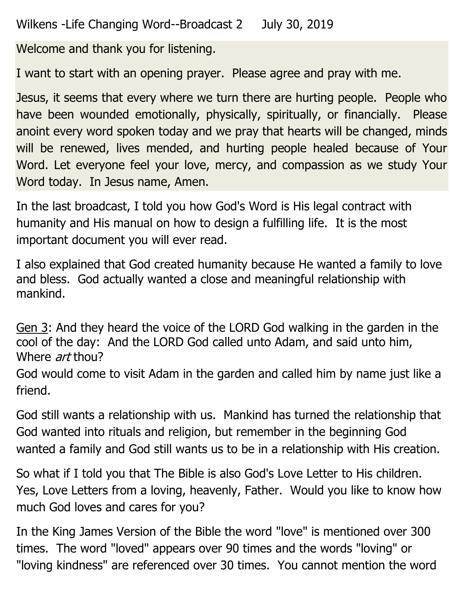Wilkens -Life Changing Word--Broadcast 2 July 30, 2019

Welcome and thank you for listening.

I want to start with an opening prayer. Please agree and pray with me.

Jesus, it seems that every where we turn there are hurting people. People who have been wounded emotionally, physically, spiritually, or financially. Please anoint every word spoken today and we pray that hearts will be changed, minds will be renewed, lives mended, and hurting people healed because of Your Word. Let everyone feel your love, mercy, and compassion as we study Your Word today. In Jesus name, Amen.

In the last broadcast, I told you how God's Word is His legal contract with humanity and His manual on how to design a fulfilling life. It is the most important document you will ever read.

I also explained that God created humanity because He wanted a family to love and bless. God actually wanted a close and meaningful relationship with mankind.

Gen 3: And they heard the voice of the LORD God walking in the garden in the cool of the day: And the LORD God called unto Adam, and said unto him, Where *art* thou?

God would come to visit Adam in the garden and called him by name just like a friend.

God still wants a relationship with us. Mankind has turned the relationship that God wanted into rituals and religion, but remember in the beginning God wanted a family and God still wants us to be in a relationship with His creation.

So what if I told you that The Bible is also God's Love Letter to His children. Yes, Love Letters from a loving, heavenly, Father. Would you like to know how much God loves and cares for you?

In the King James Version of the Bible the word "love" is mentioned over 300 times. The word "loved" appears over 90 times and the words "loving" or "loving kindness" are referenced over 30 times. You cannot mention the word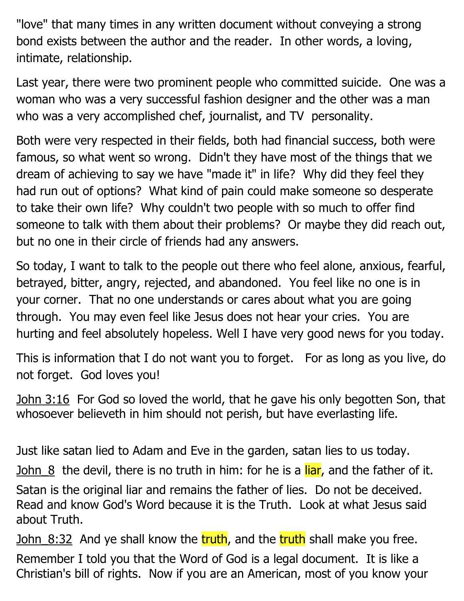"love" that many times in any written document without conveying a strong bond exists between the author and the reader. In other words, a loving, intimate, relationship.

Last year, there were two prominent people who committed suicide. One was a woman who was a very successful fashion designer and the other was a man who was a very accomplished chef, journalist, and TV personality.

Both were very respected in their fields, both had financial success, both were famous, so what went so wrong. Didn't they have most of the things that we dream of achieving to say we have "made it" in life? Why did they feel they had run out of options? What kind of pain could make someone so desperate to take their own life? Why couldn't two people with so much to offer find someone to talk with them about their problems? Or maybe they did reach out, but no one in their circle of friends had any answers.

So today, I want to talk to the people out there who feel alone, anxious, fearful, betrayed, bitter, angry, rejected, and abandoned. You feel like no one is in your corner. That no one understands or cares about what you are going through. You may even feel like Jesus does not hear your cries. You are hurting and feel absolutely hopeless. Well I have very good news for you today.

This is information that I do not want you to forget. For as long as you live, do not forget. God loves you!

John 3:16 For God so loved the world, that he gave his only begotten Son, that whosoever believeth in him should not perish, but have everlasting life.

Just like satan lied to Adam and Eve in the garden, satan lies to us today.

John  $8$  the devil, there is no truth in him: for he is a liar, and the father of it.

Satan is the original liar and remains the father of lies. Do not be deceived. Read and know God's Word because it is the Truth. Look at what Jesus said about Truth.

John 8:32 And ye shall know the truth, and the truth shall make you free.

Remember I told you that the Word of God is a legal document. It is like a Christian's bill of rights. Now if you are an American, most of you know your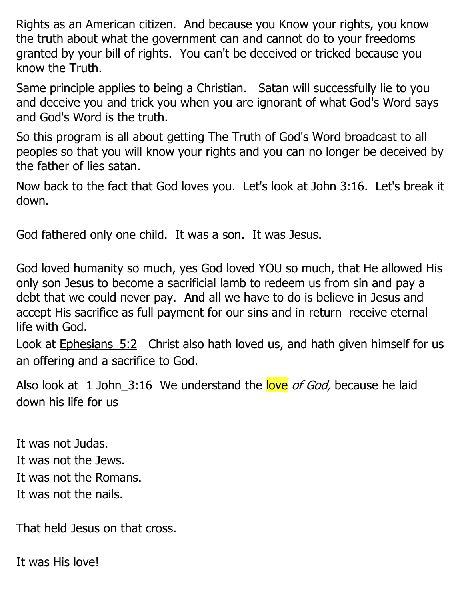Rights as an American citizen. And because you Know your rights, you know the truth about what the government can and cannot do to your freedoms granted by your bill of rights. You can't be deceived or tricked because you know the Truth.

Same principle applies to being a Christian. Satan will successfully lie to you and deceive you and trick you when you are ignorant of what God's Word says and God's Word is the truth.

So this program is all about getting The Truth of God's Word broadcast to all peoples so that you will know your rights and you can no longer be deceived by the father of lies satan.

Now back to the fact that God loves you. Let's look at John 3:16. Let's break it down.

God fathered only one child. It was a son. It was Jesus.

God loved humanity so much, yes God loved YOU so much, that He allowed His only son Jesus to become a sacrificial lamb to redeem us from sin and pay a debt that we could never pay. And all we have to do is believe in Jesus and accept His sacrifice as full payment for our sins and in return receive eternal life with God.

Look at Ephesians 5:2 Christ also hath loved us, and hath given himself for us an offering and a sacrifice to God.

Also look at 1 John 3:16 We understand the love of God, because he laid down his life for us

It was not Judas. It was not the Jews. It was not the Romans. It was not the nails.

That held Jesus on that cross.

It was His love!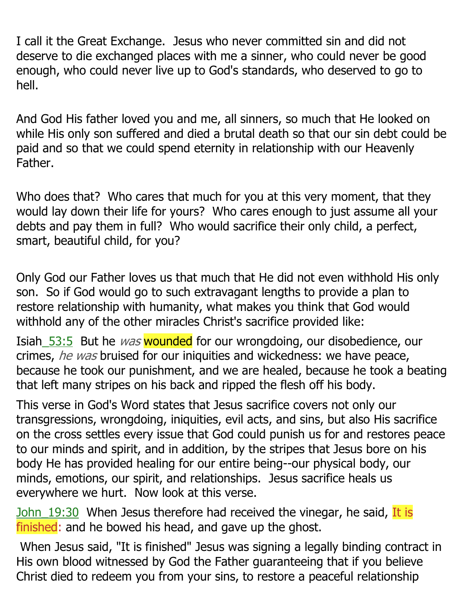I call it the Great Exchange. Jesus who never committed sin and did not deserve to die exchanged places with me a sinner, who could never be good enough, who could never live up to God's standards, who deserved to go to hell.

And God His father loved you and me, all sinners, so much that He looked on while His only son suffered and died a brutal death so that our sin debt could be paid and so that we could spend eternity in relationship with our Heavenly Father.

Who does that? Who cares that much for you at this very moment, that they would lay down their life for yours? Who cares enough to just assume all your debts and pay them in full? Who would sacrifice their only child, a perfect, smart, beautiful child, for you?

Only God our Father loves us that much that He did not even withhold His only son. So if God would go to such extravagant lengths to provide a plan to restore relationship with humanity, what makes you think that God would withhold any of the other miracles Christ's sacrifice provided like:

Isiah 53:5 But he *was* wounded for our wrongdoing, our disobedience, our crimes, he was bruised for our iniquities and wickedness: we have peace, because he took our punishment, and we are healed, because he took a beating that left many stripes on his back and ripped the flesh off his body.

This verse in God's Word states that Jesus sacrifice covers not only our transgressions, wrongdoing, iniquities, evil acts, and sins, but also His sacrifice on the cross settles every issue that God could punish us for and restores peace to our minds and spirit, and in addition, by the stripes that Jesus bore on his body He has provided healing for our entire being--our physical body, our minds, emotions, our spirit, and relationships. Jesus sacrifice heals us everywhere we hurt. Now look at this verse.

John 19:30 When Jesus therefore had received the vinegar, he said, It is finished: and he bowed his head, and gave up the ghost.

When Jesus said, "It is finished" Jesus was signing a legally binding contract in His own blood witnessed by God the Father guaranteeing that if you believe Christ died to redeem you from your sins, to restore a peaceful relationship